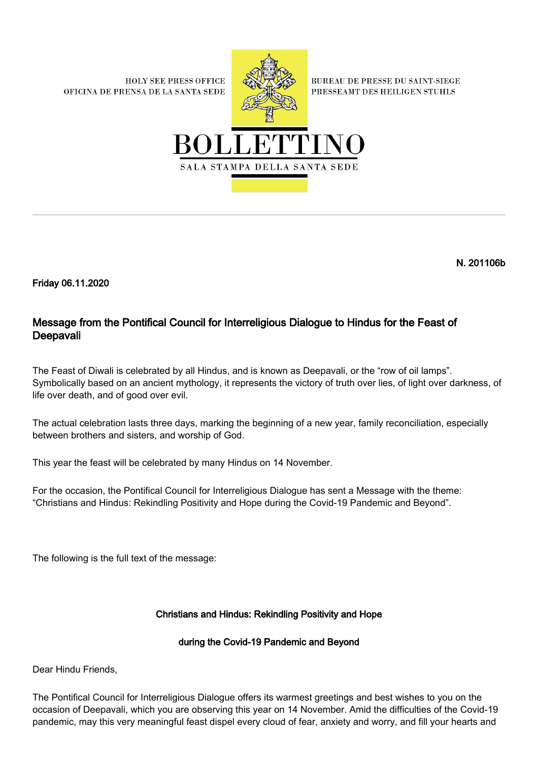**HOLY SEE PRESS OFFICE** OFICINA DE PRENSA DE LA SANTA SEDE



**BUREAU DE PRESSE DU SAINT-SIEGE** PRESSEAMT DES HEILIGEN STUHLS



N. 201106b

Friday 06.11.2020

## Message from the Pontifical Council for Interreligious Dialogue to Hindus for the Feast of Deepavali

The Feast of Diwali is celebrated by all Hindus, and is known as Deepavali, or the "row of oil lamps". Symbolically based on an ancient mythology, it represents the victory of truth over lies, of light over darkness, of life over death, and of good over evil.

The actual celebration lasts three days, marking the beginning of a new year, family reconciliation, especially between brothers and sisters, and worship of God.

This year the feast will be celebrated by many Hindus on 14 November.

For the occasion, the Pontifical Council for Interreligious Dialogue has sent a Message with the theme: "Christians and Hindus: Rekindling Positivity and Hope during the Covid-19 Pandemic and Beyond".

The following is the full text of the message:

## Christians and Hindus: Rekindling Positivity and Hope

## during the Covid-19 Pandemic and Beyond

Dear Hindu Friends,

The Pontifical Council for Interreligious Dialogue offers its warmest greetings and best wishes to you on the occasion of Deepavali, which you are observing this year on 14 November. Amid the difficulties of the Covid-19 pandemic, may this very meaningful feast dispel every cloud of fear, anxiety and worry, and fill your hearts and